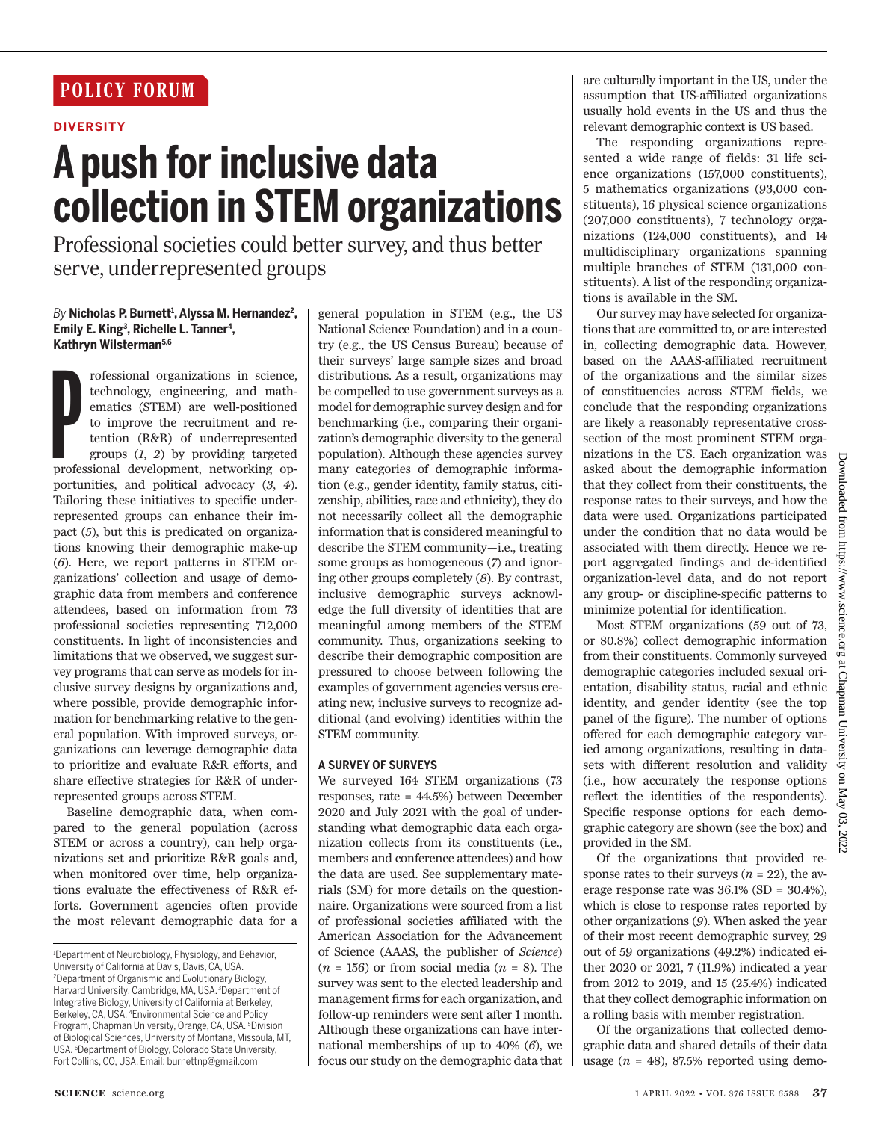# **POLICY FORUM**

## **DIVERSITY**

# **A push for inclusive data collection in STEM organizations**

Professional societies could better survey, and thus better serve, underrepresented groups

### *By* **Nicholas P. Burnett<sup>1</sup> , Alyssa M. Hernandez<sup>2</sup> ,**  Emily E. King<sup>3</sup>, Richelle L. Tanner<sup>4</sup>, **Kathryn Wilsterman5,6**

rofessional organizations in science, technology, engineering, and mathematics (STEM) are well-positioned to improve the recruitment and retention (R&R) of underrepresented groups (1, 2) by providing targeted professional rofessional organizations in science, technology, engineering, and mathematics (STEM) are well-positioned to improve the recruitment and retention (R&R) of underrepresented groups (*1*, *2*) by providing targeted portunities, and political advocacy (*3*, *4*). Tailoring these initiatives to specific underrepresented groups can enhance their impact (*5*), but this is predicated on organizations knowing their demographic make-up (*6*). Here, we report patterns in STEM organizations' collection and usage of demographic data from members and conference attendees, based on information from 73 professional societies representing 712,000 constituents. In light of inconsistencies and limitations that we observed, we suggest survey programs that can serve as models for inclusive survey designs by organizations and, where possible, provide demographic information for benchmarking relative to the general population. With improved surveys, organizations can leverage demographic data to prioritize and evaluate R&R efforts, and share effective strategies for R&R of underrepresented groups across STEM.

Baseline demographic data, when compared to the general population (across STEM or across a country), can help organizations set and prioritize R&R goals and, when monitored over time, help organizations evaluate the effectiveness of R&R efforts. Government agencies often provide the most relevant demographic data for a general population in STEM (e.g., the US National Science Foundation) and in a country (e.g., the US Census Bureau) because of their surveys' large sample sizes and broad distributions. As a result, organizations may be compelled to use government surveys as a model for demographic survey design and for benchmarking (i.e., comparing their organization's demographic diversity to the general population). Although these agencies survey many categories of demographic information (e.g., gender identity, family status, citizenship, abilities, race and ethnicity), they do not necessarily collect all the demographic information that is considered meaningful to describe the STEM community—i.e., treating some groups as homogeneous (*7*) and ignoring other groups completely (*8*). By contrast, inclusive demographic surveys acknowledge the full diversity of identities that are meaningful among members of the STEM community. Thus, organizations seeking to describe their demographic composition are pressured to choose between following the examples of government agencies versus creating new, inclusive surveys to recognize additional (and evolving) identities within the STEM community.

## **A SURVEY OF SURVEYS**

We surveyed 164 STEM organizations (73 responses, rate = 44.5%) between December 2020 and July 2021 with the goal of understanding what demographic data each organization collects from its constituents (i.e., members and conference attendees) and how the data are used. See supplementary materials (SM) for more details on the questionnaire. Organizations were sourced from a list of professional societies affiliated with the American Association for the Advancement of Science (AAAS, the publisher of *Science*)  $(n = 156)$  or from social media  $(n = 8)$ . The survey was sent to the elected leadership and management firms for each organization, and follow-up reminders were sent after 1 month. Although these organizations can have international memberships of up to 40% (*6*), we focus our study on the demographic data that

are culturally important in the US, under the assumption that US-affiliated organizations usually hold events in the US and thus the relevant demographic context is US based.

The responding organizations represented a wide range of fields: 31 life science organizations (157,000 constituents), 5 mathematics organizations (93,000 constituents), 16 physical science organizations (207,000 constituents), 7 technology organizations (124,000 constituents), and 14 multidisciplinary organizations spanning multiple branches of STEM (131,000 constituents). A list of the responding organizations is available in the SM.

Our survey may have selected for organizations that are committed to, or are interested in, collecting demographic data. However, based on the AAAS-affiliated recruitment of the organizations and the similar sizes of constituencies across STEM fields, we conclude that the responding organizations are likely a reasonably representative crosssection of the most prominent STEM organizations in the US. Each organization was asked about the demographic information that they collect from their constituents, the response rates to their surveys, and how the data were used. Organizations participated under the condition that no data would be associated with them directly. Hence we report aggregated findings and de-identified organization-level data, and do not report any group- or discipline-specific patterns to minimize potential for identification.

Most STEM organizations (59 out of 73, or 80.8%) collect demographic information from their constituents. Commonly surveyed demographic categories included sexual orientation, disability status, racial and ethnic identity, and gender identity (see the top panel of the figure). The number of options offered for each demographic category varied among organizations, resulting in datasets with different resolution and validity (i.e., how accurately the response options reflect the identities of the respondents). Specific response options for each demographic category are shown (see the box) and provided in the SM.

Of the organizations that provided response rates to their surveys  $(n = 22)$ , the average response rate was  $36.1\%$  (SD =  $30.4\%$ ). which is close to response rates reported by other organizations (*9*). When asked the year of their most recent demographic survey, 29 out of 59 organizations (49.2%) indicated either 2020 or 2021, 7 (11.9%) indicated a year from 2012 to 2019, and 15 (25.4%) indicated that they collect demographic information on a rolling basis with member registration.

Of the organizations that collected demographic data and shared details of their data usage  $(n = 48)$ , 87.5% reported using demo-

<sup>&</sup>lt;sup>1</sup>Department of Neurobiology, Physiology, and Behavior, University of California at Davis, Davis, CA, USA. <sup>2</sup>Department of Organismic and Evolutionary Biology, Harvard University, Cambridge, MA, USA.<sup>3</sup>Department of Integrative Biology, University of California at Berkeley, Berkeley, CA, USA. <sup>4</sup>Environmental Science and Policy Program, Chapman University, Orange, CA, USA. <sup>5</sup>Division of Biological Sciences, University of Montana, Missoula, MT, USA. <sup>6</sup>Department of Biology, Colorado State University, Fort Collins, CO, USA. Email: burnettnp@gmail.com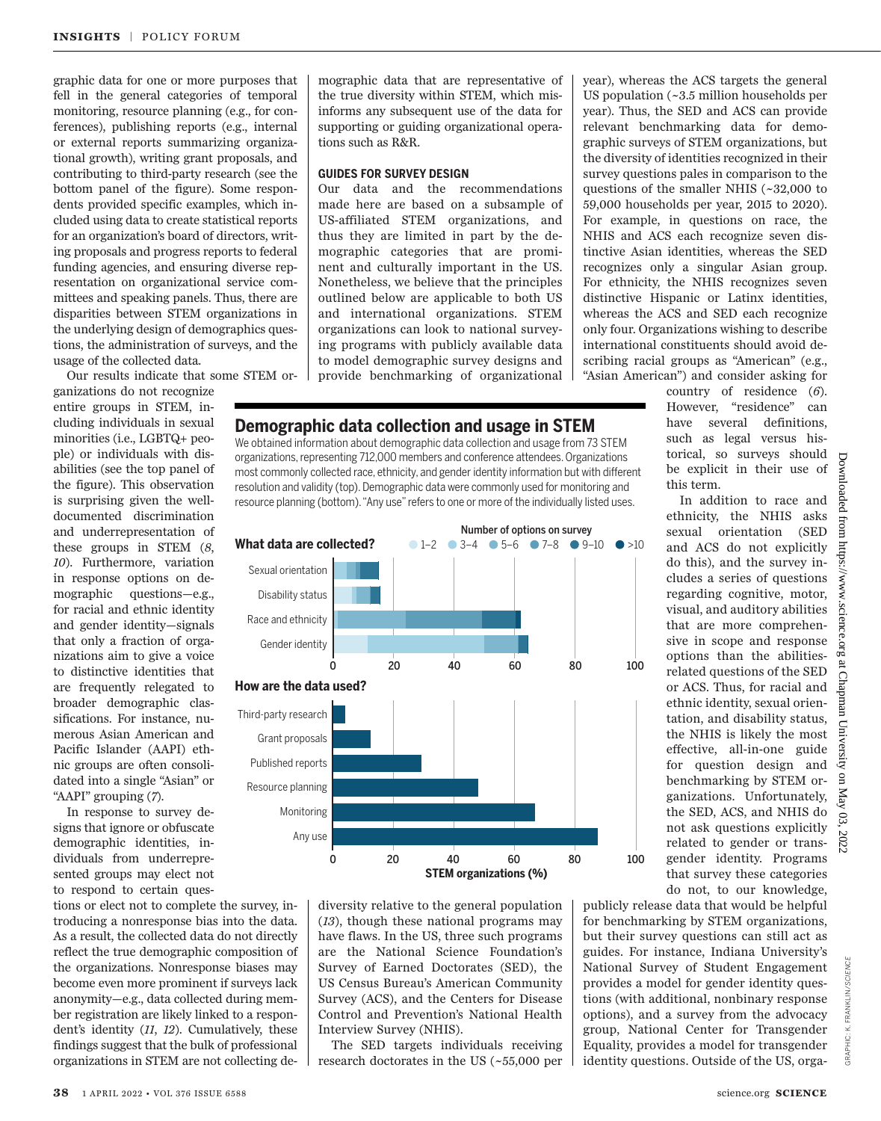graphic data for one or more purposes that fell in the general categories of temporal monitoring, resource planning (e.g., for conferences), publishing reports (e.g., internal or external reports summarizing organizational growth), writing grant proposals, and contributing to third-party research (see the bottom panel of the figure). Some respondents provided specific examples, which included using data to create statistical reports for an organization's board of directors, writing proposals and progress reports to federal funding agencies, and ensuring diverse representation on organizational service committees and speaking panels. Thus, there are disparities between STEM organizations in the underlying design of demographics questions, the administration of surveys, and the usage of the collected data.

Our results indicate that some STEM or-

ganizations do not recognize entire groups in STEM, including individuals in sexual minorities (i.e., LGBTQ+ people) or individuals with disabilities (see the top panel of the figure). This observation is surprising given the welldocumented discrimination and underrepresentation of these groups in STEM (*8*, *10*). Furthermore, variation in response options on demographic questions—e.g., for racial and ethnic identity and gender identity—signals that only a fraction of organizations aim to give a voice to distinctive identities that are frequently relegated to broader demographic classifications. For instance, numerous Asian American and Pacific Islander (AAPI) ethnic groups are often consolidated into a single "Asian" or "AAPI" grouping (*7*).

In response to survey designs that ignore or obfuscate demographic identities, individuals from underrepresented groups may elect not to respond to certain ques-

tions or elect not to complete the survey, introducing a nonresponse bias into the data. As a result, the collected data do not directly reflect the true demographic composition of the organizations. Nonresponse biases may become even more prominent if surveys lack anonymity—e.g., data collected during member registration are likely linked to a respondent's identity (*11*, *12*). Cumulatively, these findings suggest that the bulk of professional organizations in STEM are not collecting de-

Third-party research Grant proposals Published reports Resource planning Monitoring Any use

**How are the data used?**

Gender identity Race and ethnicity Disability status Sexual orientation

**What data are collected?**

mographic data that are representative of the true diversity within STEM, which misinforms any subsequent use of the data for supporting or guiding organizational operations such as R&R.

## **GUIDES FOR SURVEY DESIGN**

Our data and the recommendations made here are based on a subsample of US-affiliated STEM organizations, and thus they are limited in part by the demographic categories that are prominent and culturally important in the US. Nonetheless, we believe that the principles outlined below are applicable to both US and international organizations. STEM organizations can look to national surveying programs with publicly available data to model demographic survey designs and provide benchmarking of organizational

**Demographic data collection and usage in STEM** We obtained information about demographic data collection and usage from 73 STEM organizations, representing 712,000 members and conference attendees. Organizations most commonly collected race, ethnicity, and gender identity information but with different resolution and validity (top). Demographic data were commonly used for monitoring and resource planning (bottom). "Any use" refers to one or more of the individually listed uses.

year), whereas the ACS targets the general US population (~3.5 million households per year). Thus, the SED and ACS can provide relevant benchmarking data for demographic surveys of STEM organizations, but the diversity of identities recognized in their survey questions pales in comparison to the questions of the smaller NHIS (~32,000 to 59,000 households per year, 2015 to 2020). For example, in questions on race, the NHIS and ACS each recognize seven distinctive Asian identities, whereas the SED recognizes only a singular Asian group. For ethnicity, the NHIS recognizes seven distinctive Hispanic or Latinx identities, whereas the ACS and SED each recognize only four. Organizations wishing to describe international constituents should avoid describing racial groups as "American" (e.g., "Asian American") and consider asking for

country of residence (*6*). However, "residence" can have several definitions, such as legal versus historical, so surveys should be explicit in their use of this term.

In addition to race and ethnicity, the NHIS asks sexual orientation (SED and ACS do not explicitly do this), and the survey includes a series of questions regarding cognitive, motor, visual, and auditory abilities that are more comprehensive in scope and response options than the abilitiesrelated questions of the SED or ACS. Thus, for racial and ethnic identity, sexual orientation, and disability status, the NHIS is likely the most effective, all-in-one guide for question design and benchmarking by STEM organizations. Unfortunately, the SED, ACS, and NHIS do not ask questions explicitly related to gender or transgender identity. Programs that survey these categories do not, to our knowledge, 0 20 40 60 80 100

diversity relative to the general population (*13*), though these national programs may have flaws. In the US, three such programs are the National Science Foundation's Survey of Earned Doctorates (SED), the US Census Bureau's American Community Survey (ACS), and the Centers for Disease Control and Prevention's National Health Interview Survey (NHIS).

**STEM organizations (%)**

0 20 40 60 80 100

 $1-2$   $\bullet$   $3-4$   $\bullet$   $5-6$   $\bullet$   $7-8$   $\bullet$   $9-10$   $\bullet$   $>10$ 

The SED targets individuals receiving research doctorates in the US (~55,000 per

publicly release data that would be helpful for benchmarking by STEM organizations, but their survey questions can still act as guides. For instance, Indiana University's National Survey of Student Engagement provides a model for gender identity questions (with additional, nonbinary response options), and a survey from the advocacy group, National Center for Transgender Equality, provides a model for transgender identity questions. Outside of the US, orgaDownloaded

mon

GRAPHIC: K. FRANKLIN/*SCIENCE*

GRAPHIC: K. FRANKLIN/SCIENCE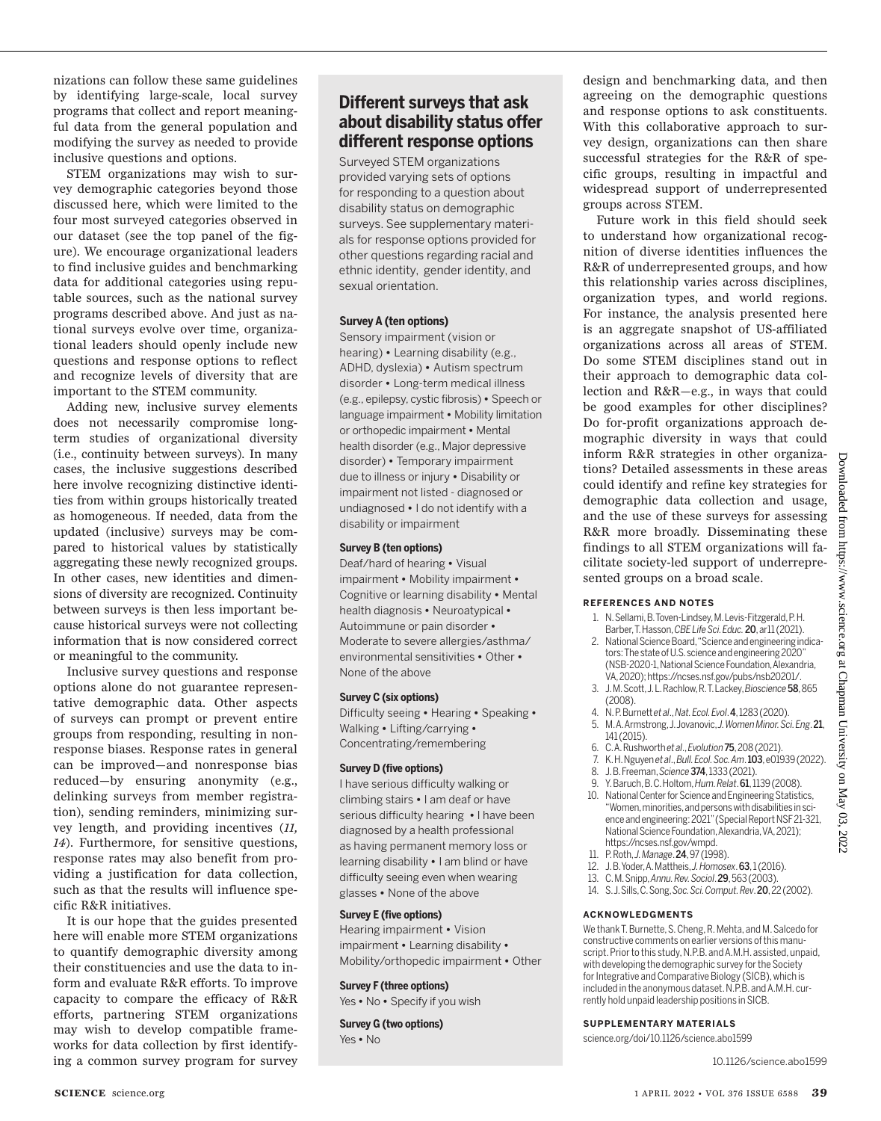nizations can follow these same guidelines by identifying large-scale, local survey programs that collect and report meaningful data from the general population and modifying the survey as needed to provide inclusive questions and options.

STEM organizations may wish to survey demographic categories beyond those discussed here, which were limited to the four most surveyed categories observed in our dataset (see the top panel of the figure). We encourage organizational leaders to find inclusive guides and benchmarking data for additional categories using reputable sources, such as the national survey programs described above. And just as national surveys evolve over time, organizational leaders should openly include new questions and response options to reflect and recognize levels of diversity that are important to the STEM community.

Adding new, inclusive survey elements does not necessarily compromise longterm studies of organizational diversity (i.e., continuity between surveys). In many cases, the inclusive suggestions described here involve recognizing distinctive identities from within groups historically treated as homogeneous. If needed, data from the updated (inclusive) surveys may be compared to historical values by statistically aggregating these newly recognized groups. In other cases, new identities and dimensions of diversity are recognized. Continuity between surveys is then less important because historical surveys were not collecting information that is now considered correct or meaningful to the community.

Inclusive survey questions and response options alone do not guarantee representative demographic data. Other aspects of surveys can prompt or prevent entire groups from responding, resulting in nonresponse biases. Response rates in general can be improved—and nonresponse bias reduced—by ensuring anonymity (e.g., delinking surveys from member registration), sending reminders, minimizing survey length, and providing incentives (*11, 14*). Furthermore, for sensitive questions, response rates may also benefit from providing a justification for data collection, such as that the results will influence specific R&R initiatives.

It is our hope that the guides presented here will enable more STEM organizations to quantify demographic diversity among their constituencies and use the data to inform and evaluate R&R efforts. To improve capacity to compare the efficacy of R&R efforts, partnering STEM organizations may wish to develop compatible frameworks for data collection by first identifying a common survey program for survey

# **Different surveys that ask about disability status offer different response options**

Surveyed STEM organizations provided varying sets of options for responding to a question about disability status on demographic surveys. See supplementary materials for response options provided for other questions regarding racial and ethnic identity, gender identity, and sexual orientation.

#### **Survey A (ten options)**

Sensory impairment (vision or hearing) **•** Learning disability (e.g., ADHD, dyslexia) **•** Autism spectrum disorder **•** Long-term medical illness (e.g., epilepsy, cystic fibrosis) **•** Speech or language impairment **•** Mobility limitation or orthopedic impairment **•** Mental health disorder (e.g., Major depressive disorder) **•** Temporary impairment due to illness or injury **•** Disability or impairment not listed - diagnosed or undiagnosed **•** I do not identify with a disability or impairment

#### **Survey B (ten options)**

Deaf/hard of hearing **•** Visual impairment **•** Mobility impairment **•**  Cognitive or learning disability **•** Mental health diagnosis **•** Neuroatypical **•**  Autoimmune or pain disorder **•**  Moderate to severe allergies/asthma/ environmental sensitivities **•** Other **•**  None of the above

#### **Survey C (six options)**

Difficulty seeing **•** Hearing **•** Speaking **•**  Walking **•** Lifting/carrying **•** Concentrating/remembering

#### **Survey D (five options)**

I have serious difficulty walking or climbing stairs **•** I am deaf or have serious difficulty hearing **•** I have been diagnosed by a health professional as having permanent memory loss or learning disability **•** I am blind or have difficulty seeing even when wearing glasses **•** None of the above

#### **Survey E (five options)**

Hearing impairment **•** Vision impairment **•** Learning disability **•**  Mobility/orthopedic impairment **•** Other

# **Survey F (three options)**

Yes **•** No **•** Specify if you wish

**Survey G (two options)** Yes **•** No

design and benchmarking data, and then agreeing on the demographic questions and response options to ask constituents. With this collaborative approach to survey design, organizations can then share successful strategies for the R&R of specific groups, resulting in impactful and widespread support of underrepresented groups across STEM.

Future work in this field should seek to understand how organizational recognition of diverse identities influences the R&R of underrepresented groups, and how this relationship varies across disciplines, organization types, and world regions. For instance, the analysis presented here is an aggregate snapshot of US-affiliated organizations across all areas of STEM. Do some STEM disciplines stand out in their approach to demographic data collection and R&R—e.g., in ways that could be good examples for other disciplines? Do for-profit organizations approach demographic diversity in ways that could inform R&R strategies in other organizations? Detailed assessments in these areas could identify and refine key strategies for demographic data collection and usage, and the use of these surveys for assessing R&R more broadly. Disseminating these findings to all STEM organizations will facilitate society-led support of underrepresented groups on a broad scale.

#### **REFERENCES AND NOTES**

- 1. N. Sellami, B. Toven-Lindsey, M. Levis-Fitzgerald, P. H. Barber, T. Hasson, *CBE Life Sci. Educ.*20, ar11 (2021).
- 2. National Science Board, "Science and engineering indicators: The state of U.S. science and engineering 2020" (NSB-2020-1, National Science Foundation, Alexandria, VA, 2020); https://ncses.nsf.gov/pubs/nsb20201/.
- 3. J. M. Scott, J. L. Rachlow, R. T. Lackey, *Bioscience* 58, 865 (2008).
- 4. N. P. Burnett *et al*., *Nat. Ecol. Evol*. 4, 1283 (2020).
- 5. M. A. Armstrong, J. Jovanovic, *J. Women Minor. Sci. Eng*. 21, 141 (2015).
- 6. C. A. Rushworth *et al*., *Evolution*75, 208 (2021).
- 7. K. H. Nguyen *et al*., *Bull. Ecol. Soc. Am*. 103, e01939 (2022). 8. J. B. Freeman, *Science*374, 1333 (2021).
- 9. Y. Baruch, B. C. Holtom, *Hum. Relat*. 61, 1139 (2008).
- 10. National Center for Science and Engineering Statistics, "Women, minorities, and persons with disabilities in science and engineering: 2021" (Special Report NSF 21-321, National Science Foundation, Alexandria, VA, 2021); https://ncses.nsf.gov/wmpd.
- 11. P. Roth, *J. Manage*. 24, 97 (1998).
- 12. J. B. Yoder, A. Mattheis, *J. Homosex*. 63, 1 (2016).
- 13. C. M. Snipp, *Annu. Rev. Sociol*. 29, 563 (2003).
- 14. S. J. Sills, C. Song, *Soc. Sci. Comput. Rev*. 20, 22 (2002).

#### **ACKNOWLEDGMENTS**

We thank T. Burnette, S. Cheng, R. Mehta, and M. Salcedo for constructive comments on earlier versions of this manuscript. Prior to this study, N.P.B. and A.M.H. assisted, unpaid, with developing the demographic survey for the Society for Integrative and Comparative Biology (SICB), which is included in the anonymous dataset. N.P.B. and A.M.H. currently hold unpaid leadership positions in SICB.

#### **SUPPLEMENTARY MATERIALS**

science.org/doi/10.1126/science.abo1599